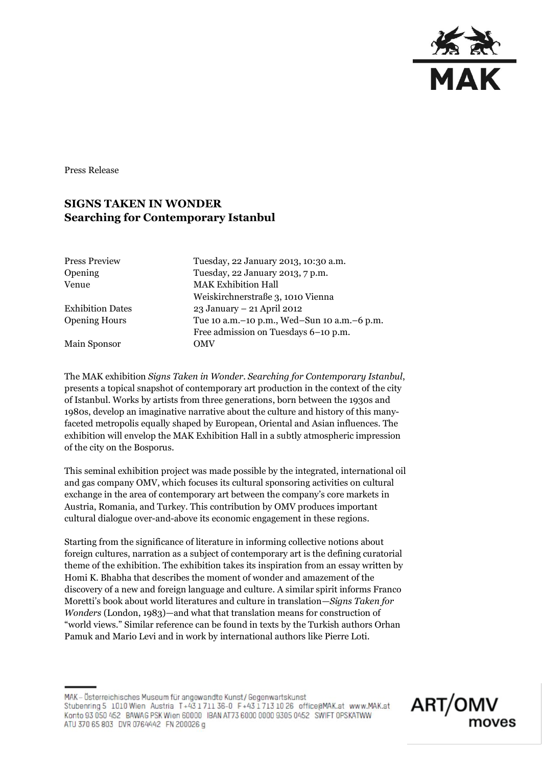

Press Release

# **SIGNS TAKEN IN WONDER Searching for Contemporary Istanbul**

| <b>Press Preview</b>    | Tuesday, 22 January 2013, 10:30 a.m.            |
|-------------------------|-------------------------------------------------|
| Opening                 | Tuesday, 22 January 2013, 7 p.m.                |
| Venue                   | <b>MAK Exhibition Hall</b>                      |
|                         | Weiskirchnerstraße 3, 1010 Vienna               |
| <b>Exhibition Dates</b> | 23 January - 21 April 2012                      |
| <b>Opening Hours</b>    | Tue 10 a.m. - 10 p.m., Wed-Sun 10 a.m. - 6 p.m. |
|                         | Free admission on Tuesdays 6-10 p.m.            |
| Main Sponsor            | <b>OMV</b>                                      |
|                         |                                                 |

The MAK exhibition *Signs Taken in Wonder. Searching for Contemporary Istanbul*, presents a topical snapshot of contemporary art production in the context of the city of Istanbul. Works by artists from three generations, born between the 1930s and 1980s, develop an imaginative narrative about the culture and history of this manyfaceted metropolis equally shaped by European, Oriental and Asian influences. The exhibition will envelop the MAK Exhibition Hall in a subtly atmospheric impression of the city on the Bosporus.

This seminal exhibition project was made possible by the integrated, international oil and gas company OMV, which focuses its cultural sponsoring activities on cultural exchange in the area of contemporary art between the company's core markets in Austria, Romania, and Turkey. This contribution by OMV produces important cultural dialogue over-and-above its economic engagement in these regions.

Starting from the significance of literature in informing collective notions about foreign cultures, narration as a subject of contemporary art is the defining curatorial theme of the exhibition. The exhibition takes its inspiration from an essay written by Homi K. Bhabha that describes the moment of wonder and amazement of the discovery of a new and foreign language and culture. A similar spirit informs Franco Moretti's book about world literatures and culture in translation—*Signs Taken for Wonders* (London, 1983)—and what that translation means for construction of "world views." Similar reference can be found in texts by the Turkish authors Orhan Pamuk and Mario Levi and in work by international authors like Pierre Loti.

MAK - Österreichisches Museum für angewandte Kunst/Gegenwartskunst Stubenring 5 1010 Wien Austria T+43 1 711 36-0 F+43 1 713 10 26 office@MAK.at www.MAK.at Konto 93 050 452 BAWAG PSK Wien 60000 IBAN AT73 6000 0000 9305 0452 SWIFT OPSKATWW ATU 370 65 803 DVR 0764442 FN 200026 g

ART/OMV moves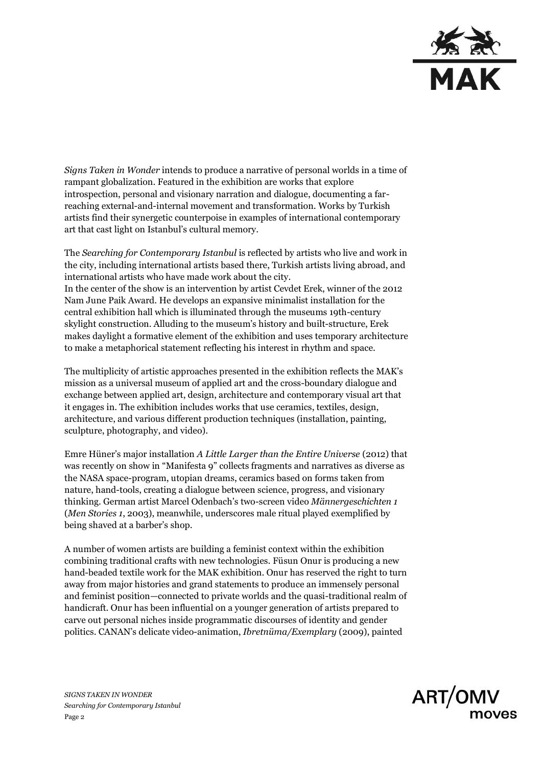

*Signs Taken in Wonder* intends to produce a narrative of personal worlds in a time of rampant globalization. Featured in the exhibition are works that explore introspection, personal and visionary narration and dialogue, documenting a farreaching external-and-internal movement and transformation. Works by Turkish artists find their synergetic counterpoise in examples of international contemporary art that cast light on Istanbul's cultural memory.

The *Searching for Contemporary Istanbul* is reflected by artists who live and work in the city, including international artists based there, Turkish artists living abroad, and international artists who have made work about the city. In the center of the show is an intervention by artist Cevdet Erek, winner of the 2012 Nam June Paik Award. He develops an expansive minimalist installation for the central exhibition hall which is illuminated through the museums 19th-century skylight construction. Alluding to the museum's history and built-structure, Erek makes daylight a formative element of the exhibition and uses temporary architecture to make a metaphorical statement reflecting his interest in rhythm and space.

The multiplicity of artistic approaches presented in the exhibition reflects the MAK's mission as a universal museum of applied art and the cross-boundary dialogue and exchange between applied art, design, architecture and contemporary visual art that it engages in. The exhibition includes works that use ceramics, textiles, design, architecture, and various different production techniques (installation, painting, sculpture, photography, and video).

Emre Hüner's major installation *A Little Larger than the Entire Universe* (2012) that was recently on show in "Manifesta 9" collects fragments and narratives as diverse as the NASA space-program, utopian dreams, ceramics based on forms taken from nature, hand-tools, creating a dialogue between science, progress, and visionary thinking. German artist Marcel Odenbach's two-screen video *Männergeschichten 1*  (*Men Stories 1*, 2003), meanwhile, underscores male ritual played exemplified by being shaved at a barber's shop.

A number of women artists are building a feminist context within the exhibition combining traditional crafts with new technologies. Füsun Onur is producing a new hand-beaded textile work for the MAK exhibition. Onur has reserved the right to turn away from major histories and grand statements to produce an immensely personal and feminist position—connected to private worlds and the quasi-traditional realm of handicraft. Onur has been influential on a younger generation of artists prepared to carve out personal niches inside programmatic discourses of identity and gender politics. CANAN's delicate video-animation, *Ibretnüma/Exemplary* (2009), painted

*SIGNS TAKEN IN WONDER Searching for Contemporary Istanbul* Page 2

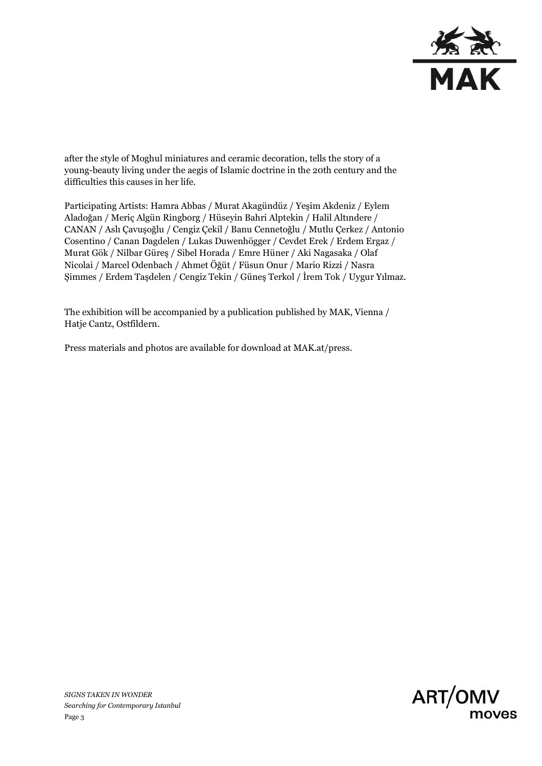

after the style of Moghul miniatures and ceramic decoration, tells the story of a young-beauty living under the aegis of Islamic doctrine in the 20th century and the difficulties this causes in her life.

Participating Artists: Hamra Abbas / Murat Akagündüz / Yeşim Akdeniz / Eylem Aladoğan / Meriç Algün Ringborg / Hüseyin Bahri Alptekin / Halil Altındere / CANAN / Aslı Çavuşoğlu / Cengiz Çekil / Banu Cennetoğlu / Mutlu Çerkez / Antonio Cosentino / Canan Dagdelen / Lukas Duwenhögger / Cevdet Erek / Erdem Ergaz / Murat Gök / Nilbar Güre[ş](http://www.iscp-nyc.org/artists/alumni-profiles/808/807.html) / Sibel Horada / Emre Hüner / Aki Nagasaka / Olaf Nicolai / Marcel Odenbach / Ahmet Öğüt / Füsun Onur / Mario Rizzi / Nasra Şimmes / Erdem Taşdelen / Cengiz Tekin / Güneş Terkol / İrem Tok / Uygur Yılmaz.

The exhibition will be accompanied by a publication published by MAK, Vienna / Hatje Cantz, Ostfildern.

Press materials and photos are available for download at MAK.at/press.



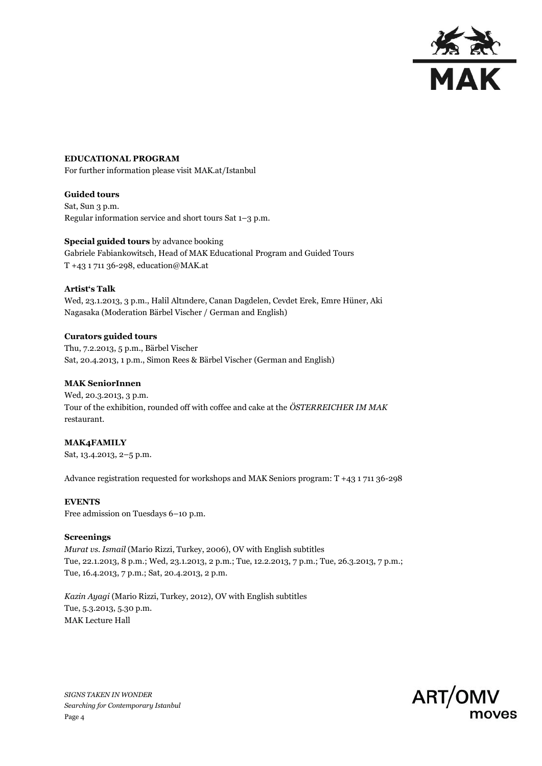

### **EDUCATIONAL PROGRAM**

For further information please visit MAK.at/Istanbul

### **Guided tours**

Sat, Sun 3 p.m. Regular information service and short tours Sat 1–3 p.m.

# **Special guided tours** by advance booking Gabriele Fabiankowitsch, Head of MAK Educational Program and Guided Tours T +43 1 711 36-298, education@MAK.at

### **Artist's Talk**

Wed, 23.1.2013, 3 p.m., Halil Altındere, Canan Dagdelen, Cevdet Erek, Emre Hüner, Aki Nagasaka (Moderation Bärbel Vischer / German and English)

**Curators guided tours** Thu, 7.2.2013, 5 p.m., Bärbel Vischer Sat, 20.4.2013, 1 p.m., Simon Rees & Bärbel Vischer (German and English)

## **MAK SeniorInnen**

Wed, 20.3.2013, 3 p.m. Tour of the exhibition, rounded off with coffee and cake at the *ÖSTERREICHER IM MAK* restaurant.

## **MAK4FAMILY**

Sat, 13.4.2013, 2–5 p.m.

Advance registration requested for workshops and MAK Seniors program: T +43 1 711 36-298

### **EVENTS**

Free admission on Tuesdays 6–10 p.m.

#### **Screenings**

*Murat vs. Ismail* (Mario Rizzi, Turkey, 2006), OV with English subtitles Tue, 22.1.2013, 8 p.m.; Wed, 23.1.2013, 2 p.m.; Tue, 12.2.2013, 7 p.m.; Tue, 26.3.2013, 7 p.m.; Tue, 16.4.2013, 7 p.m.; Sat, 20.4.2013, 2 p.m.

*Kazin Ayagi* (Mario Rizzi, Turkey, 2012), OV with English subtitles Tue, 5.3.2013, 5.30 p.m. MAK Lecture Hall



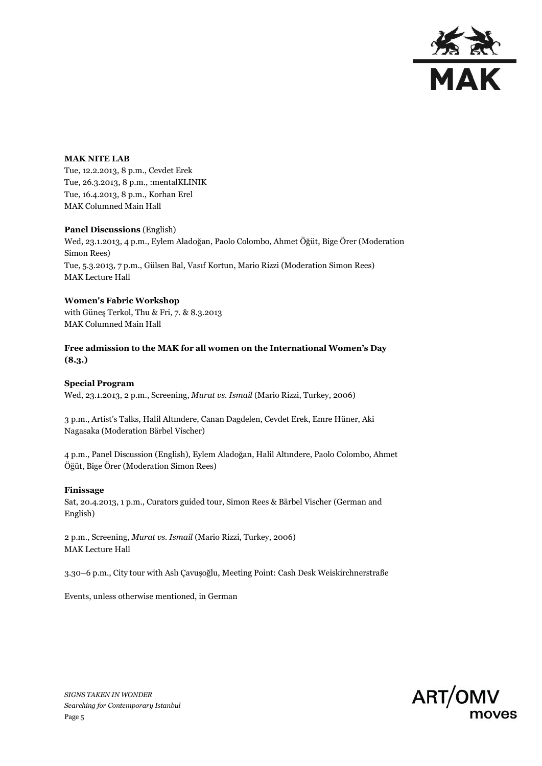

#### **MAK NITE LAB**

Tue, 12.2.2013, 8 p.m., Cevdet Erek Tue, 26.3.2013, 8 p.m., :mentalKLINIK Tue, 16.4.2013, 8 p.m., Korhan Erel MAK Columned Main Hall

**Panel Discussions** (English) Wed, 23.1.2013, 4 p.m., Eylem Aladoğan, Paolo Colombo, Ahmet Öğüt, Bige Örer (Moderation Simon Rees) Tue, 5.3.2013, 7 p.m., Gülsen Bal, Vasıf Kortun, Mario Rizzi (Moderation Simon Rees) MAK Lecture Hall

## **Women's Fabric Workshop**

with Güneş Terkol, Thu & Fri, 7. & 8.3.2013 MAK Columned Main Hall

**Free admission to the MAK for all women on the International Women's Day (8.3.)**

### **Special Program**

Wed, 23.1.2013, 2 p.m., Screening, *Murat vs. Ismail* (Mario Rizzi, Turkey, 2006)

3 p.m., Artist's Talks, Halil Altındere, Canan Dagdelen, Cevdet Erek, Emre Hüner, Aki Nagasaka (Moderation Bärbel Vischer)

4 p.m., Panel Discussion (English), Eylem Aladoğan, Halil Altındere, Paolo Colombo, Ahmet Öğüt, Bige Örer (Moderation Simon Rees)

#### **Finissage**

Sat, 20.4.2013, 1 p.m., Curators guided tour, Simon Rees & Bärbel Vischer (German and English)

2 p.m., Screening, *Murat vs. Ismail* (Mario Rizzi, Turkey, 2006) MAK Lecture Hall

3.30–6 p.m., City tour with Aslı Çavuşoğlu, Meeting Point: Cash Desk Weiskirchnerstraße

Events, unless otherwise mentioned, in German



*SIGNS TAKEN IN WONDER Searching for Contemporary Istanbul* Page 5